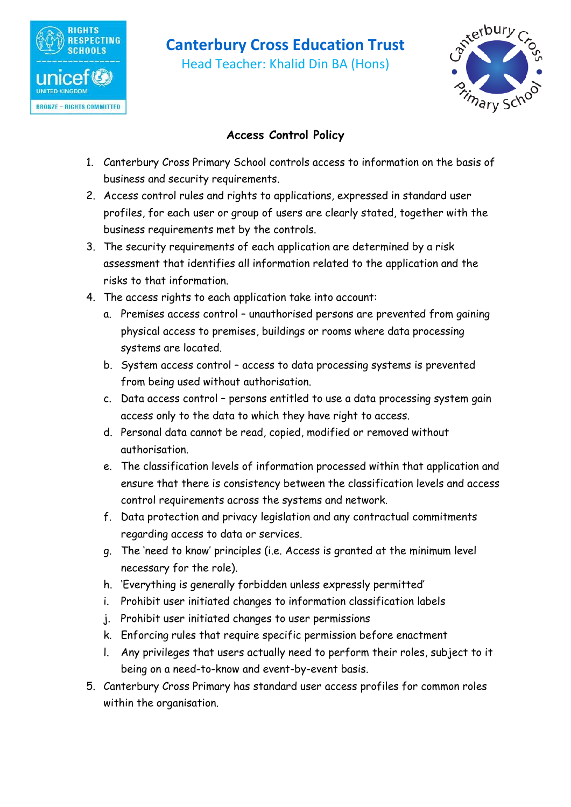

# **Canterbury Cross Education Trust**

Head Teacher: Khalid Din BA (Hons)



## **Access Control Policy**

- 1. Canterbury Cross Primary School controls access to information on the basis of business and security requirements.
- 2. Access control rules and rights to applications, expressed in standard user profiles, for each user or group of users are clearly stated, together with the business requirements met by the controls.
- 3. The security requirements of each application are determined by a risk assessment that identifies all information related to the application and the risks to that information.
- 4. The access rights to each application take into account:
	- a. Premises access control unauthorised persons are prevented from gaining physical access to premises, buildings or rooms where data processing systems are located.
	- b. System access control access to data processing systems is prevented from being used without authorisation.
	- c. Data access control persons entitled to use a data processing system gain access only to the data to which they have right to access.
	- d. Personal data cannot be read, copied, modified or removed without authorisation.
	- e. The classification levels of information processed within that application and ensure that there is consistency between the classification levels and access control requirements across the systems and network.
	- f. Data protection and privacy legislation and any contractual commitments regarding access to data or services.
	- g. The 'need to know' principles (i.e. Access is granted at the minimum level necessary for the role).
	- h. 'Everything is generally forbidden unless expressly permitted'
	- i. Prohibit user initiated changes to information classification labels
	- j. Prohibit user initiated changes to user permissions
	- k. Enforcing rules that require specific permission before enactment
	- l. Any privileges that users actually need to perform their roles, subject to it being on a need-to-know and event-by-event basis.
- 5. Canterbury Cross Primary has standard user access profiles for common roles within the organisation.